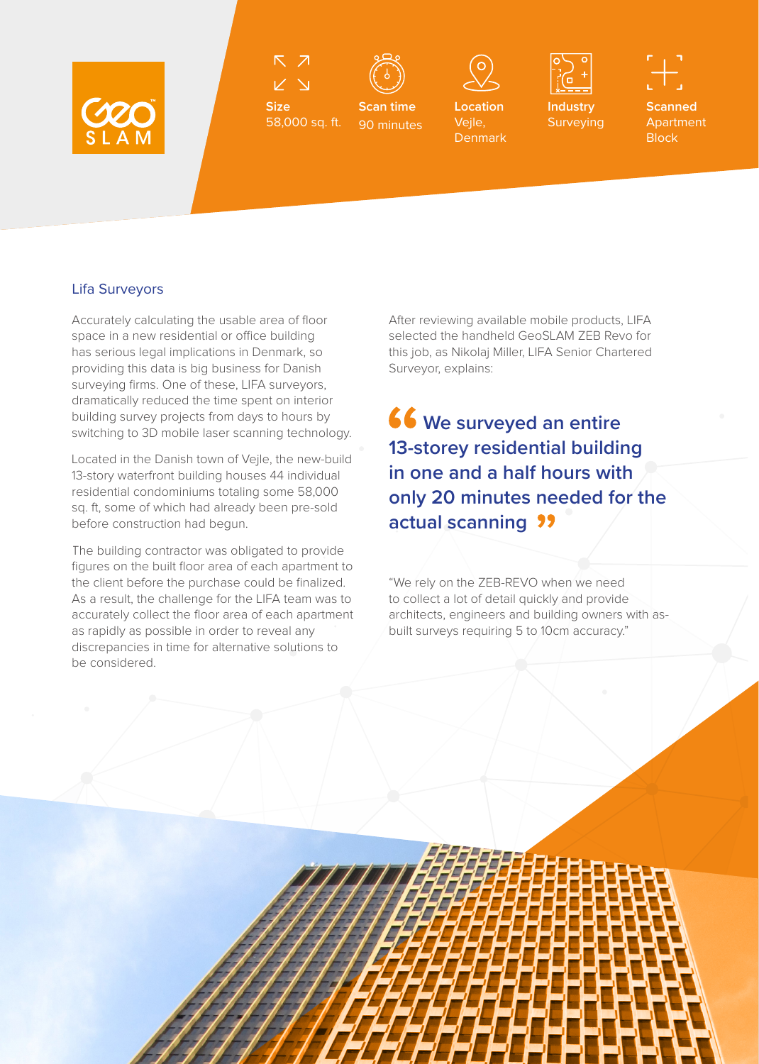

 $\overline{\mathcal{N}}$ 

58,000 sq. ft.

**Size**



**Scan time** 90 minutes



**Location**  Vejle, **Denmark** 



**Industry** Surveying **Scanned** Apartment **Block** 

## Lifa Surveyors

Accurately calculating the usable area of floor space in a new residential or office building has serious legal implications in Denmark, so providing this data is big business for Danish surveying firms. One of these, LIFA surveyors, dramatically reduced the time spent on interior building survey projects from days to hours by switching to 3D mobile laser scanning technology.

Located in the Danish town of Vejle, the new-build 13-story waterfront building houses 44 individual residential condominiums totaling some 58,000 sq. ft, some of which had already been pre-sold before construction had begun.

The building contractor was obligated to provide figures on the built floor area of each apartment to the client before the purchase could be finalized. As a result, the challenge for the LIFA team was to accurately collect the floor area of each apartment as rapidly as possible in order to reveal any discrepancies in time for alternative solutions to be considered.

After reviewing available mobile products, LIFA selected the handheld GeoSLAM ZEB Revo for this job, as Nikolaj Miller, LIFA Senior Chartered Surveyor, explains:

**We surveyed an entire 13-storey residential building in one and a half hours with only 20 minutes needed for the actual scanning**

"We rely on the ZEB-REVO when we need to collect a lot of detail quickly and provide architects, engineers and building owners with asbuilt surveys requiring 5 to 10cm accuracy."